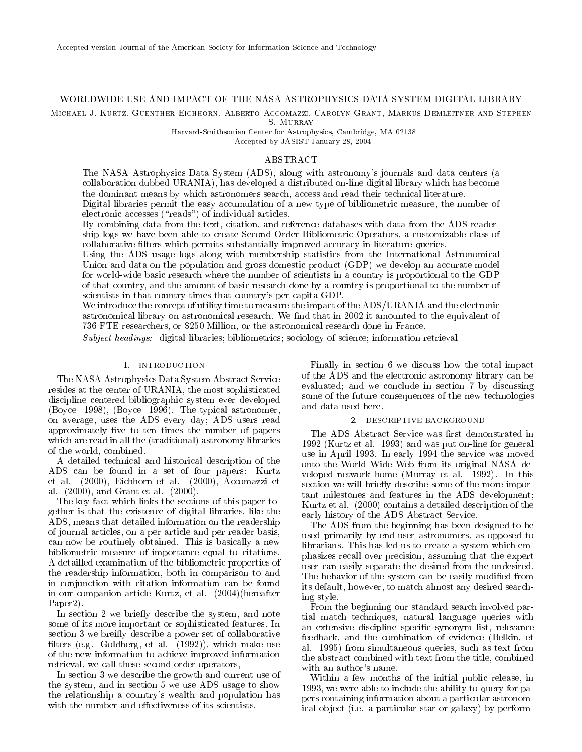# WORLDWIDE USE AND IMPACT OF THE NASA ASTROPHYSICS DATA SYSTEM DIGITAL LIBRARY

Michael J. Kurtz, Guenther Eichhorn, Alberto Accomazzi, Carolyn Grant, Markus Demleitner and Stephen

Harvard-Smithsonian Center for Astrophysics, Cambridge, MA 02138 Accepted by JASIST January 28, 2004

# ABSTRACT

The NASA Astrophysics Data System (ADS), along with astronomy's journals and data centers (a collaboration dubbed URANIA), has developed a distributed on-line digital library which has become the dominant means by which astronomers search, access and read their technical literature. Digital libraries permit the easy accumulation of a new type of bibliometric measure, the number of electronic accesses ("reads") of individual articles.

By combining data from the text, citation, and reference databases with data from the ADS readership logs we have been able to create Second Order Bibliometric Operators, a customizable class of collaborative filters which permits substantially improved accuracy in literature queries.

Using the ADS usage logs along with membership statistics from the International Astronomical Union and data on the population and gross domestic product (GDP) we develop an accurate model for world-wide basic research where the number of scientists in a country is proportional to the GDP of that country, and the amount of basic research done by a country is proportional to the number of scientists in that country times that country's per capita GDP.

We introduce the concept of utility time to measure the impact of the ADS/URANIA and the electronic astronomical library on astronomical research. We find that in 2002 it amounted to the equivalent of 736 FTE researchers, or \$250 Million, or the astronomical research done in France.

Subject headings: digital libraries; bibliometrics; sociology of science; information retrieval

### 1. INTRODUCTION

The NASA Astrophysics Data System Abstract Service resides at the center of URANIA, the most sophisticated discipline centered bibliographic system ever developed (Boyce 1998), (Boyce 1996). The typical astronomer, on average, uses the ADS every day; ADS users read approximately five to ten times the number of papers which are read in all the (traditional) astronomy libraries of the world, combined.

A detailed technical and historical description of the ADS can be found in a set of four papers: Kurtz et al. (2000), Eichhorn et al. (2000), Accomazzi et al. (2000), and Grant et al. (2000).

The key fact which links the sections of this paper together is that the existence of digital libraries, like the ADS, means that detailed information on the readership of journal articles, on a per article and per reader basis, can now be routinely obtained. This is basically a new bibliometric measure of importance equal to citations. A detailled examination of the bibliometric properties of the readership information, both in comparison to and in conjunction with citation information can be found in our companion article Kurtz, et al. (2004)(hereafter Paper2).

In section 2 we briefly describe the system, and note some of its more important or sophisticated features. In section 3 we breifly describe a power set of collaborative filters (e.g. Goldberg, et al.  $(1992)$ ), which make use of the new information to achieve improved information retrieval, we call these second order operators,

In section 3 we describe the growth and current use of the system, and in section 5 we use ADS usage to show the relationship a country's wealth and population has with the number and effectiveness of its scientists.

Finally in section 6 we discuss how the total impact of the ADS and the electronic astronomy library can be evaluated; and we conclude in section 7 by discussing some of the future consequences of the new technologies and data used here.

#### 2. DESCRIPTIVE BACKGROUND

The ADS Abstract Service was first demonstrated in 1992 (Kurtz et al. 1993) and was put on-line for general use in April 1993. In early 1994 the service was moved onto the World Wide Web from its original NASA de veloped network home (Murray et al. 1992). In this section we will briefly describe some of the more important milestones and features in the ADS development; Kurtz et al. (2000) contains a detailed description of the early history of the ADS Abstract Service.

The ADS from the beginning has been designed to be used primarily by end-user astronomers, as opposed to librarians. This has led us to create a system which emphasizes recall over precision, assuming that the expert user can easily separate the desired from the undesired. The behavior of the system can be easily modified from its default, however, to match almost any desired searching style.

From the beginning our standard search involved partial match techniques, natural language queries with an extensive discipline specic synonym list, relevance feedback, and the combination of evidence (Belkin, et al. 1995) from simultaneous queries, such as text from the abstract combined with text from the title, combined with an author's name.

Within a few months of the initial public release, in 1993, we were able to include the ability to query for papers containing information about a particular astronomical ob ject (i.e. a particular star or galaxy) by perform-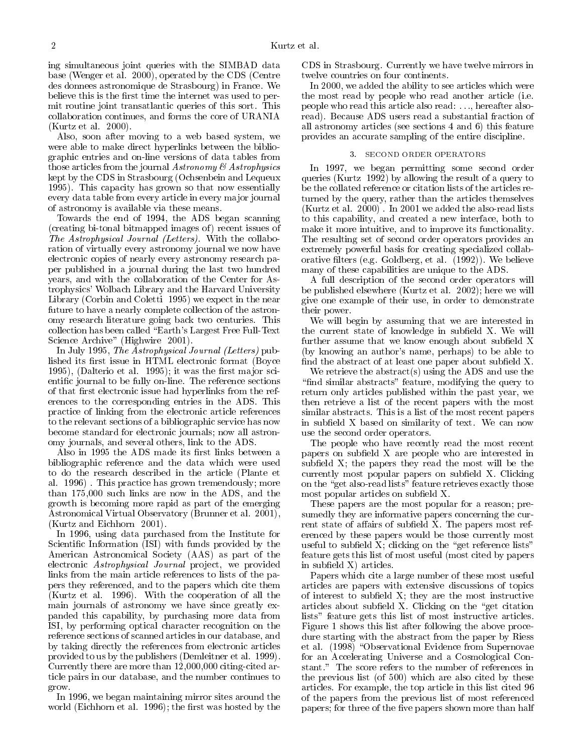ing simultaneous joint queries with the SIMBAD data base (Wenger et al. 2000), operated by the CDS (Centre des donnees astronomique de Strasbourg) in France. We believe this is the first time the internet was used to permit routine joint transatlantic queries of this sort. This collaboration continues, and forms the core of URANIA (Kurtz et al. 2000).

Also, soon after moving to a web based system, we were able to make direct hyperlinks between the bibliographic entries and on-line versions of data tables from those articles from the journal  $Astronomy \& Astrophysics$ kept by the CDS in Strasbourg (Ochsenbein and Lequeux 1995). This capacity has grown so that now essentially every data table from every article in every ma jor journal of astronomy is available via these means.

Towards the end of 1994, the ADS began scanning (creating bi-tonal bitmapped images of ) recent issues of The Astrophysical Journal (Letters). With the collaboration of virtually every astronomy journal we now have electronic copies of nearly every astronomy research paper published in a journal during the last two hundred years, and with the collaboration of the Center for Astrophysics' Wolbach Library and the Harvard University Library (Corbin and Coletti 1995) we expect in the near future to have a nearly complete collection of the astronomy research literature going back two centuries. This collection has been called "Earth's Largest Free Full-Text" Science Archive" (Highwire 2001).

In July 1995, The Astrophysical Journal (Letters) published its first issue in HTML electronic format (Boyce 1995), (Dalterio et al. 1995); it was the first major scientic journal to be fully on-line. The reference sections of that first electronic issue had hyperlinks from the references to the corresponding entries in the ADS. This practice of linking from the electronic article references to the relevant sections of a bibliographic service has now become standard for electronic journals; now all astronomy journals, and several others, link to the ADS.

Also in 1995 the ADS made its first links between a bibliographic reference and the data which were used to do the research described in the article (Plante et al. 1996) . This practice has grown tremendously; more than 175,000 such links are now in the ADS, and the growth is becoming more rapid as part of the emerging Astronomical Virtual Observatory (Brunner et al. 2001), (Kurtz and Eichhorn 2001).  $\mathcal{L}$ 

In 1996, using data purchased from the Institute for Scientic Information (ISI) with funds provided by the American Astronomical Society (AAS) as part of the electronic Astrophysical Journal project, we provided links from the main article references to lists of the papers they referenced, and to the papers which cite them (Kurtz et al. 1996). With the cooperation of all the main journals of astronomy we have since greatly expanded this capability, by purchasing more data from ISI, by performing optical character recognition on the reference sections of scanned articles in our database, and by taking directly the references from electronic articles provided to us by the publishers (Demleitner et al. 1999). Currently there are more than 12,000,000 citing-cited article pairs in our database, and the number continues to grow.

In 1996, we began maintaining mirror sites around the world (Eichhorn et al. 1996); the first was hosted by the CDS in Strasbourg. Currently we have twelve mirrors in twelve countries on four continents.

In 2000, we added the ability to see articles which were the most read by people who read another article (i.e. people who read this article also read: :::, hereafter alsoread). Because ADS users read a substantial fraction of all astronomy articles (see sections 4 and 6) this feature provides an accurate sampling of the entire discipline.

#### 3. SECOND ORDER OPERATORS

In 1997, we began permitting some second order queries (Kurtz 1992) by allowing the result of a query to be the collated reference or citation lists of the articles returned by the query, rather than the articles themselves (Kurtz et al. 2000) . In 2001 we added the also-read lists to this capability, and created a new interface, both to make it more intuitive, and to improve its functionality. The resulting set of second order operators provides an extremely powerful basis for creating specialized collaborative filters (e.g. Goldberg, et al. (1992)). We believe many of these capabilities are unique to the ADS.

A full description of the second order operators will be published elsewhere (Kurtz et al. 2002); here we will give one example of their use, in order to demonstrate their power.

 $\mathcal{L}$  will be a summing that we are interested interested in the current state of knowledge in subfield X. We will further assume that we know enough about subfield  $X$ (by knowing an author's name, perhaps) to be able to find the abstract of at least one paper about subfield  $X$ .

We retrieve the abstract(s) using the ADS and use the "find similar abstracts" feature, modifying the query to return only articles published within the past year, we then retrieve a list of the recent papers with the most similar abstracts. This is a list of the most recent papers in subfield X based on similarity of text. We can now use the second order operators.

The people who have recently read the most recent papers on subfield X are people who are interested in subfield  $X$ ; the papers they read the most will be the  $\alpha$  currently most popular papers on subfield X. Clicking on the "get also-read lists" feature retrieves exactly those most popular articles on subfield X.

These papers are the most popular for a reason; presumedly they are informative papers concerning the current state of affairs of subfield X. The papers most referenced by these papers would be those currently most useful to subfield  $X$ ; clicking on the "get reference lists" feature gets this list of most useful (most cited by papers in subfield  $X$ ) articles.

Papers which cite a large number of these most useful articles are papers with extensive discussions of topics of interest to subfield  $X$ ; they are the most instructive articles about subfield X. Clicking on the "get citation lists" feature gets this list of most instructive articles. Figure 1 shows this list after following the above procedure starting with the abstract from the paper by Riess et al.  $(1998)$  "Observational Evidence from Supernovae for an Accelerating Universe and a Cosmological Constant." The score refers to the number of references in the previous list (of 500) which are also cited by these articles. For example, the top article in this list cited 96 of the papers from the previous list of most referenced papers; for three of the five papers shown more than half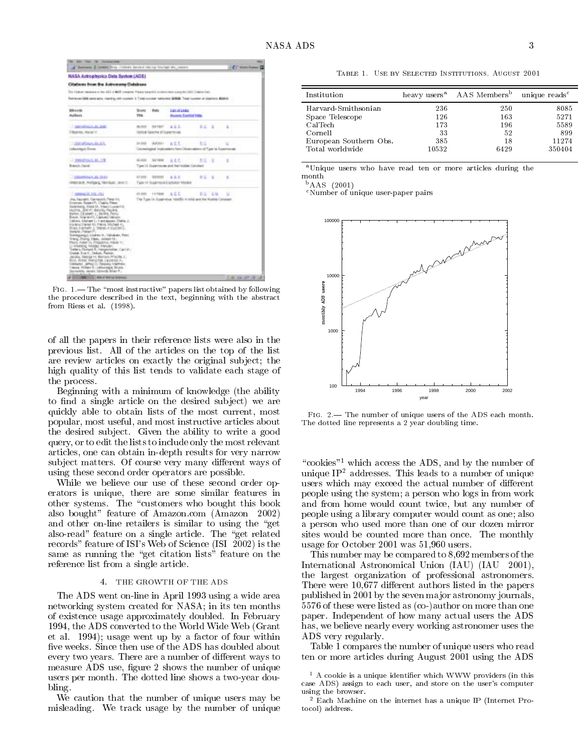| <b>NASA Autrophysics Data System (ADS)</b><br>Cliations from the Astronomy Detabane<br>This Elektor meabour in the silk! It WAF cheapons Frequencies in temployment company this Elegion battle<br>Rehisvasi 2000 admirests, nighting (diti number 3. Tubi number salinomed 20428, Total number of sitations 8020-0<br><b>BR-1+/N</b><br>185251881<br><b>Ball</b><br>Scott<br><b>Publicat</b><br><b>Rougan, Contine Issue</b><br><b>TEM</b><br><b>CONTRACTOR</b><br>A.L.L.<br><b>SLIPP</b><br>COTRET<br>E.E.T<br>$\equiv$<br>z<br><b>FALLISTS, AVENTS</b><br>current Subscribe (#Supporterior)<br>ALL<br><b>CONTRACTOR</b><br>DOMESTIC:<br>Gra. Hiller<br>EG.<br>u<br>Connected instrumes han Occasions of Type to Eugeneeae<br>Ladsunback / Eromic<br>1. THROUGHLAL BL. TTR<br>大丈・王<br>ALC JACKS<br><b>DOCTRINE</b><br>主見式<br>E.<br>Branch, David<br>Type 1h Superinsum and Refricklike Constant<br><b>COMMERCA DE PERIO</b><br><b>AT JUST</b><br><b>COUNTER</b><br>A L.E.<br><b>RESPUTE</b><br>٠<br>HARDWIS, PHOTOGRIE, TANINGUE, JERRIC,<br>Fulle IA Superious Economic Models<br><b>PLINE TATION A.C.C.</b><br>1200001-01-12<br>80.58<br>MO.<br>The Type U. Superious 199891 in Mid-and the Hubble-Constant<br>the Teachers, Germanist, Penerios,<br>Einstein, Estate P. Chalin, Paten-<br>Saderberg, AVGs 14. Maaril Luxan FIS.<br>HUTTIL JEWITT, BEITEL FAURIL<br>Barton, [Aradatt-1; Berling, Perry.<br>Breat, ArangerPL Caldwell Melaler<br>Callers, Malveri L. P. protessert, Thelia J.<br>Forend Daret M, Parve, Mched A,<br>Press Furnish J. Dranel P Investment<br>Indehi, Polait P.<br>Scentiguargos Josefron W. Valindates, Perio-<br>Warg, Disnip Tipec, Joseph M.<br>Reng Adam DJ, FROORRIG, Albret Y.C.<br>I Vietnos Motar, Mayan<br>Trafacts Floringer R. Printsportation: Carl 2011<br>Detel: Eve C.: Delive: Paintin;<br>JALION, TANKIA H. BAYNAN, PFINOTA<br>RIN, AISIE MASCHA, LAZIVOLAL<br>Coldwich, Alfrey D. Carsing Internation<br>Vessa, Niker 2. Letompa Burg | A Basico E come from come amount record to hall the come. |  |  | <b>EXT</b> Matchiner    |
|-------------------------------------------------------------------------------------------------------------------------------------------------------------------------------------------------------------------------------------------------------------------------------------------------------------------------------------------------------------------------------------------------------------------------------------------------------------------------------------------------------------------------------------------------------------------------------------------------------------------------------------------------------------------------------------------------------------------------------------------------------------------------------------------------------------------------------------------------------------------------------------------------------------------------------------------------------------------------------------------------------------------------------------------------------------------------------------------------------------------------------------------------------------------------------------------------------------------------------------------------------------------------------------------------------------------------------------------------------------------------------------------------------------------------------------------------------------------------------------------------------------------------------------------------------------------------------------------------------------------------------------------------------------------------------------------------------------------------------------------------------------------------------------------------------------------------------------------------------------------------------------------------------------------------------------------------------------------------------------------|-----------------------------------------------------------|--|--|-------------------------|
|                                                                                                                                                                                                                                                                                                                                                                                                                                                                                                                                                                                                                                                                                                                                                                                                                                                                                                                                                                                                                                                                                                                                                                                                                                                                                                                                                                                                                                                                                                                                                                                                                                                                                                                                                                                                                                                                                                                                                                                           |                                                           |  |  |                         |
|                                                                                                                                                                                                                                                                                                                                                                                                                                                                                                                                                                                                                                                                                                                                                                                                                                                                                                                                                                                                                                                                                                                                                                                                                                                                                                                                                                                                                                                                                                                                                                                                                                                                                                                                                                                                                                                                                                                                                                                           |                                                           |  |  |                         |
|                                                                                                                                                                                                                                                                                                                                                                                                                                                                                                                                                                                                                                                                                                                                                                                                                                                                                                                                                                                                                                                                                                                                                                                                                                                                                                                                                                                                                                                                                                                                                                                                                                                                                                                                                                                                                                                                                                                                                                                           |                                                           |  |  |                         |
|                                                                                                                                                                                                                                                                                                                                                                                                                                                                                                                                                                                                                                                                                                                                                                                                                                                                                                                                                                                                                                                                                                                                                                                                                                                                                                                                                                                                                                                                                                                                                                                                                                                                                                                                                                                                                                                                                                                                                                                           |                                                           |  |  |                         |
|                                                                                                                                                                                                                                                                                                                                                                                                                                                                                                                                                                                                                                                                                                                                                                                                                                                                                                                                                                                                                                                                                                                                                                                                                                                                                                                                                                                                                                                                                                                                                                                                                                                                                                                                                                                                                                                                                                                                                                                           |                                                           |  |  |                         |
|                                                                                                                                                                                                                                                                                                                                                                                                                                                                                                                                                                                                                                                                                                                                                                                                                                                                                                                                                                                                                                                                                                                                                                                                                                                                                                                                                                                                                                                                                                                                                                                                                                                                                                                                                                                                                                                                                                                                                                                           |                                                           |  |  |                         |
|                                                                                                                                                                                                                                                                                                                                                                                                                                                                                                                                                                                                                                                                                                                                                                                                                                                                                                                                                                                                                                                                                                                                                                                                                                                                                                                                                                                                                                                                                                                                                                                                                                                                                                                                                                                                                                                                                                                                                                                           |                                                           |  |  |                         |
|                                                                                                                                                                                                                                                                                                                                                                                                                                                                                                                                                                                                                                                                                                                                                                                                                                                                                                                                                                                                                                                                                                                                                                                                                                                                                                                                                                                                                                                                                                                                                                                                                                                                                                                                                                                                                                                                                                                                                                                           |                                                           |  |  |                         |
|                                                                                                                                                                                                                                                                                                                                                                                                                                                                                                                                                                                                                                                                                                                                                                                                                                                                                                                                                                                                                                                                                                                                                                                                                                                                                                                                                                                                                                                                                                                                                                                                                                                                                                                                                                                                                                                                                                                                                                                           |                                                           |  |  |                         |
|                                                                                                                                                                                                                                                                                                                                                                                                                                                                                                                                                                                                                                                                                                                                                                                                                                                                                                                                                                                                                                                                                                                                                                                                                                                                                                                                                                                                                                                                                                                                                                                                                                                                                                                                                                                                                                                                                                                                                                                           |                                                           |  |  |                         |
|                                                                                                                                                                                                                                                                                                                                                                                                                                                                                                                                                                                                                                                                                                                                                                                                                                                                                                                                                                                                                                                                                                                                                                                                                                                                                                                                                                                                                                                                                                                                                                                                                                                                                                                                                                                                                                                                                                                                                                                           |                                                           |  |  |                         |
|                                                                                                                                                                                                                                                                                                                                                                                                                                                                                                                                                                                                                                                                                                                                                                                                                                                                                                                                                                                                                                                                                                                                                                                                                                                                                                                                                                                                                                                                                                                                                                                                                                                                                                                                                                                                                                                                                                                                                                                           |                                                           |  |  |                         |
|                                                                                                                                                                                                                                                                                                                                                                                                                                                                                                                                                                                                                                                                                                                                                                                                                                                                                                                                                                                                                                                                                                                                                                                                                                                                                                                                                                                                                                                                                                                                                                                                                                                                                                                                                                                                                                                                                                                                                                                           |                                                           |  |  |                         |
|                                                                                                                                                                                                                                                                                                                                                                                                                                                                                                                                                                                                                                                                                                                                                                                                                                                                                                                                                                                                                                                                                                                                                                                                                                                                                                                                                                                                                                                                                                                                                                                                                                                                                                                                                                                                                                                                                                                                                                                           |                                                           |  |  |                         |
| of 1972. Hele class with it through this book.                                                                                                                                                                                                                                                                                                                                                                                                                                                                                                                                                                                                                                                                                                                                                                                                                                                                                                                                                                                                                                                                                                                                                                                                                                                                                                                                                                                                                                                                                                                                                                                                                                                                                                                                                                                                                                                                                                                                            | Savverence January Tigherida Brian P.L.                   |  |  | The same control of the |

FIG.  $1$ . - The "most instructive" papers list obtained by following the procedure described in the text, beginning with the abstract from Riess et al. (1998).

of all the papers in their reference lists were also in the previous list. All of the articles on the top of the list are review articles on exactly the original subject; the high quality of this list tends to validate each stage of the process.

Beginning with a minimum of knowledge (the ability to find a single article on the desired subject) we are quickly able to obtain lists of the most current, most popular, most useful, and most instructive articles about the desired sub ject. Given the ability to write a good query, or to edit the lists to include only the most relevant articles, one can obtain in-depth results for very narrow subject matters. Of course very many different ways of using these second order operators are possible.

While we believe our use of these second order operators is unique, there are some similar features in other systems. The "customers who bought this book also bought" feature of Amazon.com (Amazon 2002) and other on-line retailers is similar to using the "get also-read" feature on a single article. The "get related" records" feature of ISI's Web of Science (ISI 2002) is the same as running the "get citation lists" feature on the reference list from a single article.

#### 4. THE GROWTH OF THE ADS

The ADS went on-line in April 1993 using a wide area networking system created for NASA; in its ten months of existence usage approximately doubled. In February 1994, the ADS converted to the World Wide Web (Grant et al. 1994); usage went up by a factor of four within ve weeks. Since then use of the ADS has doubled about every two years. There are a number of different ways to measure ADS use, figure 2 shows the number of unique users per month. The dotted line shows a two-year doubling.

We caution that the number of unique users may be misleading. We track usage by the number of unique

Table 1. Use by Selected Institutions, August 2001

| Institution            |       | heavy users <sup>a</sup> AAS Members <sup>b</sup> unique reads <sup>c</sup> |        |
|------------------------|-------|-----------------------------------------------------------------------------|--------|
| Harvard-Smithsonian    | 236   | 250                                                                         | 8085   |
| Space Telescope        | 126   | 163                                                                         | 5271   |
| CalTech                | 173   | 196                                                                         | 5589   |
| Cornell                | 33    | 52                                                                          | 899    |
| European Southern Obs. | 385   | 18                                                                          | 11274  |
| Total worldwide        | 10532 | 6429                                                                        | 350404 |
|                        |       |                                                                             |        |

aUnique users who have read ten or more articles during the month

 $b$ AAS (2001)

cNumber of unique user-paper pairs



FIG. 2. The number of unique users of the ADS each month. The dotted line represents a 2 year doubling time.

"cookies"<sup>1</sup> which access the ADS, and by the number of unique  $IP<sup>2</sup>$  addresses. This leads to a number of unique users which may exceed the actual number of different people using the system; a person who logs in from work and from home would count twice, but any number of people using a library computer would count as one; also a person who used more than one of our dozen mirror sites would be counted more than once. The monthly usage for October 2001 was 51,960 users.

This number may be compared to 8,692 members of the International Astronomical Union (IAU) (IAU 2001), the largest organization of professional astronomers. There were 10,677 different authors listed in the papers published in 2001 by the seven ma jor astronomy journals, 5576 of these were listed as (co-)author on more than one paper. Independent of how many actual users the ADS has, we believe nearly every working astronomer uses the ADS very regularly.

Table 1 compares the number of unique users who read ten or more articles during August 2001 using the ADS

<sup>1</sup> A cookie is a unique identier which WWW providers (in this case ADS) assign to each user, and store on the user's computer using the browser.

<sup>2</sup> Each Machine on the internet has a unique IP (Internet Protocol) address.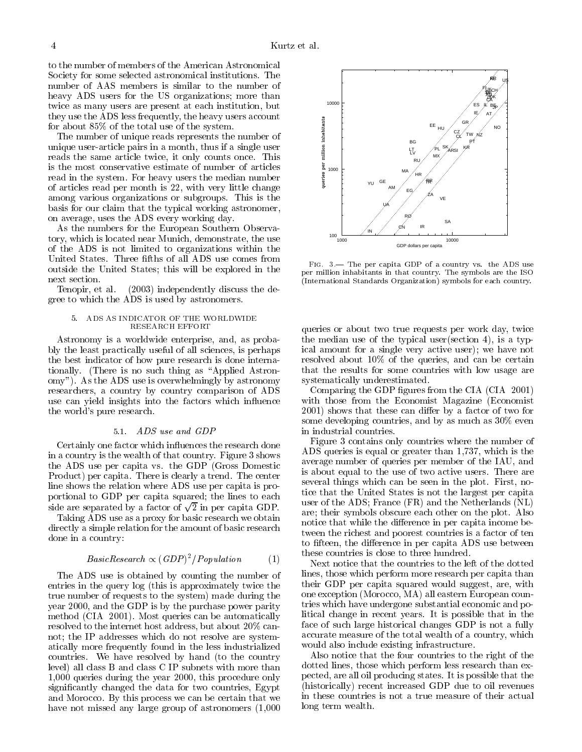to the number of members of the American Astronomical Society for some selected astronomical institutions. The number of AAS members is similar to the number of heavy ADS users for the US organizations; more than twice as many users are present at each institution, but they use the ADS less frequently, the heavy users account for about 85% of the total use of the system.

The number of unique reads represents the number of unique user-article pairs in a month, thus if a single user reads the same article twice, it only counts once. This is the most conservative estimate of number of articles read in the system. For heavy users the median number of articles read per month is 22, with very little change among various organizations or subgroups. This is the basis for our claim that the typical working astronomer, on average, uses the ADS every working day.

As the numbers for the European Southern Observatory, which is located near Munich, demonstrate, the use of the ADS is not limited to organizations within the United States. Three fifths of all ADS use comes from outside the United States; this will be explored in the next section.

Tenopir, et al. (2003) independently discuss the degree to which the ADS is used by astronomers.

#### 5. ADS AS INDICATOR OF THE WORLDWIDE RESEARCH EFFORT

Astronomy is a worldwide enterprise, and, as probably the least practically useful of all sciences, is perhaps the best indicator of how pure research is done internationally. (There is no such thing as "Applied Astronomy"). As the ADS use is overwhelmingly by astronomy researchers, a country by country comparison of ADS use can yield insights into the factors which influence the world's pure research.

#### 5.1. ADS use and GDP

Certainly one factor which in
uences the research done in a country is the wealth of that country. Figure 3 shows the ADS use per capita vs. the GDP (Gross Domestic Product) per capita. There is clearly a trend. The center line shows the relation where ADS use per capita is proportional to GDP per capita squared; the lines to each side are separated by a factor of  $\sqrt{2}$  in per capita GDP.

Taking ADS use as a proxy for basic research we obtain directly a simple relation for the amount of basic research done in a country:

$$
BasicResearch \propto (GDP)^2/Population \qquad (1)
$$

The ADS use is obtained by counting the number of entries in the query log (this is approximately twice the true number of requests to the system) made during the year 2000, and the GDP is by the purchase power parity method (CIA 2001). Most queries can be automatically resolved to the internet host address, but about 20% cannot; the IP addresses which do not resolve are systematically more frequently found in the less industrialized countries. We have resolved by hand (to the country level) all class B and class C IP subnets with more than 1,000 queries during the year 2000, this procedure only signicantly changed the data for two countries, Egypt and Morocco. By this process we can be certain that we have not missed any large group of astronomers (1,000



FIG. 3.- The per capita GDP of a country vs. the ADS use per million inhabitants in that country. The symbols are the ISO (International Standards Organization) symbols for each country.

queries or about two true requests per work day, twice the median use of the typical user(section 4), is a typical amount for a single very active user); we have not resolved about 10% of the queries, and can be certain that the results for some countries with low usage are systematically underestimated.

Comparing the GDP figures from the CIA (CIA 2001) with those from the Economist Magazine (Economist 2001) shows that these can differ by a factor of two for some developing countries, and by as much as 30% even in industrial countries.

Figure 3 contains only countries where the number of ADS queries is equal or greater than 1,737, which is the average number of queries per member of the IAU, and is about equal to the use of two active users. There are several things which can be seen in the plot. First, notice that the United States is not the largest per capita user of the ADS; France (FR) and the Netherlands (NL) are; their symbols obscure each other on the plot. Also notice that while the difference in per capita income between the richest and poorest countries is a factor of ten to fifteen, the difference in per capita ADS use between these countries is close to three hundred.

Next notice that the countries to the left of the dotted lines, those which perform more research per capita than their GDP per capita squared would suggest, are, with one exception (Morocco, MA) all eastern European countries which have undergone substantial economic and political change in recent years. It is possible that in the face of such large historical changes GDP is not a fully accurate measure of the total wealth of a country, which would also include existing infrastructure.

Also notice that the four countries to the right of the dotted lines, those which perform less research than expected, are all oil producing states. It is possible that the (historically) recent increased GDP due to oil revenues in these countries is not a true measure of their actual long term wealth.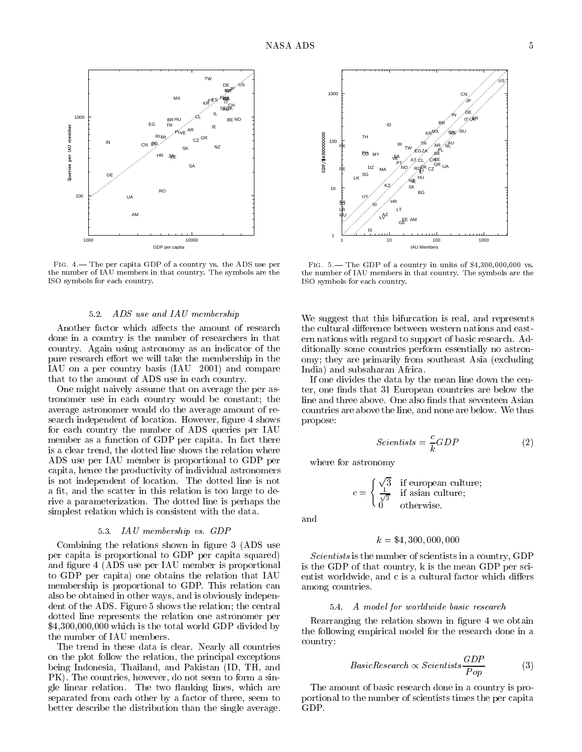

FIG. 4.- The per capita GDP of a country vs. the ADS use per the number of IAU members in that country. The symbols are the ISO symbols for each country.

# 5.2. ADS use and IAU membership

Another factor which affects the amount of research done in a country is the number of researchers in that country. Again using astronomy as an indicator of the pure research effort we will take the membership in the IAU on a per country basis (IAU 2001) and compare that to the amount of ADS use in each country.

One might naively assume that on average the per astronomer use in each country would be constant; the average astronomer would do the average amount of research independent of location. However, figure 4 shows for each country the number of ADS queries per IAU member as a function of GDP per capita. In fact there is a clear trend, the dotted line shows the relation where ADS use per IAU member is proportional to GDP per capita, hence the productivity of individual astronomers is not independent of location. The dotted line is not a fit, and the scatter in this relation is too large to derive a parameterization. The dotted line is perhaps the simplest relation which is consistent with the data.

### 5.3. IAU membership vs. GDP

Combining the relations shown in figure 3 (ADS use per capita is proportional to GDP per capita squared) and figure 4 (ADS use per IAU member is proportional to GDP per capita) one obtains the relation that IAU membership is proportional to GDP. This relation can also be obtained in other ways, and is obviously independent of the ADS. Figure 5 shows the relation; the central dotted line represents the relation one astronomer per \$4,300,000,000 which is the total world GDP divided by the number of IAU members.

The trend in these data is clear. Nearly all countries on the plot follow the relation, the principal exceptions being Indonesia, Thailand, and Pakistan (ID, TH, and PK). The countries, however, do not seem to form a single linear relation. The two flanking lines, which are separated from each other by a factor of three, seem to better describe the distribution than the single average.



FIG.  $5$ — The GDP of a country in units of \$4,300,000,000 vs. the number of IAU members in that country. The symbols are the ISO symbols for each country. ISO symbols for each country.

We suggest that this bifurcation is real, and represents the cultural difference between western nations and eastern nations with regard to support of basic research. Additionally some countries perform essentially no astronomy; they are primarily from southeast Asia (excluding India) and subsaharan Africa.

If one divides the data by the mean line down the center, one finds that 31 European countries are below the line and three above. One also finds that seventeen Asian countries are above the line, and none are below. We thus propose:

$$
Scientists = \frac{c}{k} GDP
$$
 (2)

where for astronomy

$$
c = \begin{cases} \frac{\sqrt{3}}{\sqrt{3}} & \text{if } \text{european culture;}\\ 0 & \text{otherwise.} \end{cases}
$$

and

# $k = $4,300,000,000$

Scientists is the number of scientists in a country, GDP is the GDP of that country, k is the mean GDP per scientist worldwide, and c is a cultural factor which differs among countries.

### 5.4. A model for worldwide basic research

Rearranging the relation shown in figure 4 we obtain the following empirical model for the research done in a country:

$$
BasicResearch \propto Scientists \frac{GDP}{Pop} \tag{3}
$$

The amount of basic research done in a country is proportional to the number of scientists times the per capita GDP.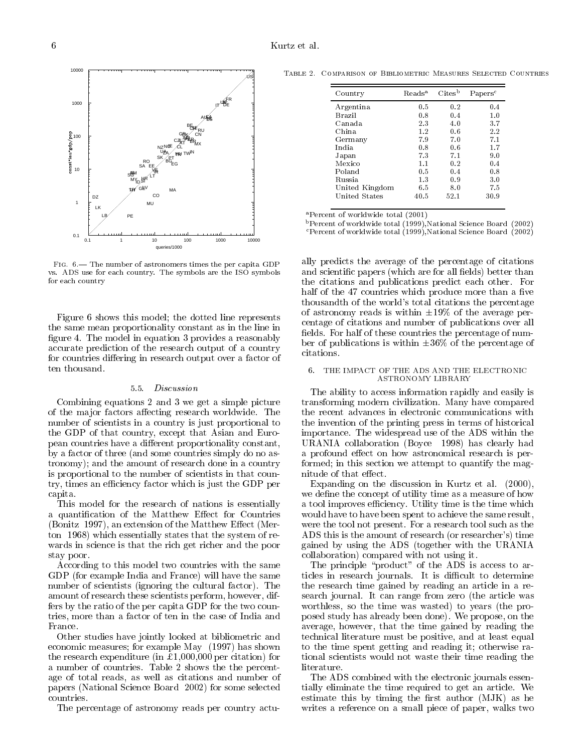

FIG. 6.- The number of astronomers times the per capita GDP vs. ADS use for each country. The symbols are the ISO symbols for each country

Figure 6 shows this model; the dotted line represents the same mean proportionality constant as in the line in figure 4. The model in equation 3 provides a reasonably accurate prediction of the research output of a country for countries differing in research output over a factor of ten thousand.

### 5.5. Discussion

Combining equations 2 and 3 we get a simple picture of the major factors affecting research worldwide. The number of scientists in a country is just proportional to the GDP of that country, except that Asian and European countries have a different proportionality constant, by a factor of three (and some countries simply do no astronomy); and the amount of research done in a country is proportional to the number of scientists in that country, times an efficiency factor which is just the GDP per capita.

This model for the research of nations is essentially a quantification of the Matthew Effect for Countries (Bonitz 1997), an extension of the Matthew Effect (Merton 1968) which essentially states that the system of re wards in science is that the rich get richer and the poor stay poor.

According to this model two countries with the same GDP (for example India and France) will have the same number of scientists (ignoring the cultural factor). The amount of research these scientists perform, however, differs by the ratio of the per capita GDP for the two countries, more than a factor of ten in the case of India and France.

Other studies have jointly looked at bibliometric and economic measures; for example May (1997) has shown the research expenditure (in \$1,000,000 per citation) for a number of countries. Table 2 shows the the percentage of total reads, as well as citations and number of papers (National Science Board 2002) for some selected countries.

The percentage of astronomy reads per country actu-

Table 2. Comparison of Bibliometric Measures Selected Countries

| Country        | Reads <sup>a</sup> | Cites <sup>b</sup> | Papers <sup>c</sup> |
|----------------|--------------------|--------------------|---------------------|
| Argentina      | 0.5                | 0.2                | 0.4                 |
| Brazil         | 0.8                | 0.4                | 1.0                 |
| Canada         | 2.3                | 4.0                | 3.7                 |
| China          | 1.2                | 0.6                | 2.2                 |
| Germany        | 7.9                | 7.0                | 7.1                 |
| India          | 0.8                | 0.6                | 1.7                 |
| Japan          | 7.3                | 7.1                | 9.0                 |
| Mexico         | 1.1                | 0.2                | 0.4                 |
| Poland         | 0.5                | 0.4                | 0.8                 |
| Russia.        | 1.3                | 0.9                | 3.0                 |
| United Kingdom | 6.5                | 8.0                | 7.5                 |
| United States  | 40.5               | 52.1               | 30.9                |

aPercent of worldwide total (2001)

bPercent of worldwide total (1999),National Science Board (2002)

cPercent of worldwide total (1999),National Science Board (2002)

ally predicts the average of the percentage of citations and scientific papers (which are for all fields) better than the citations and publications predict each other. For half of the 47 countries which produce more than a five thousandth of the world's total citations the percentage of astronomy reads is within  $\pm 19\%$  of the average percentage of citations and number of publications over all fields. For half of these countries the percentage of number of publications is within  $\pm 36\%$  of the percentage of

#### 6. THE IMPACT OF THE ADS AND THE ELECTRONIC ASTRONOMY LIBRARY

The ability to access information rapidly and easily is transforming modern civilization. Many have compared the recent advances in electronic communications with the invention of the printing press in terms of historical importance. The widespread use of the ADS within the URANIA collaboration (Boyce 1998) has clearly had a profound effect on how astronomical research is performed; in this section we attempt to quantify the magnitude of that effect.

Expanding on the discussion in Kurtz et al. (2000), we define the concept of utility time as a measure of how a tool improves efficiency. Utility time is the time which would have to have been spent to achieve the same result, were the tool not present. For a research tool such as the ADS this is the amount of research (or researcher's) time gained by using the ADS (together with the URANIA collaboration) compared with not using it.

The principle "product" of the  $\overrightarrow{ADS}$  is access to articles in research journals. It is difficult to determine the research time gained by reading an article in a research journal. It can range from zero (the article was worthless, so the time was wasted) to years (the proposed study has already been done). We propose, on the average, however, that the time gained by reading the technical literature must be positive, and at least equal to the time spent getting and reading it; otherwise rational scientists would not waste their time reading the literature.

The ADS combined with the electronic journals essentially eliminate the time required to get an article. We estimate this by timing the first author  $(MJK)$  as he writes a reference on a small piece of paper, walks two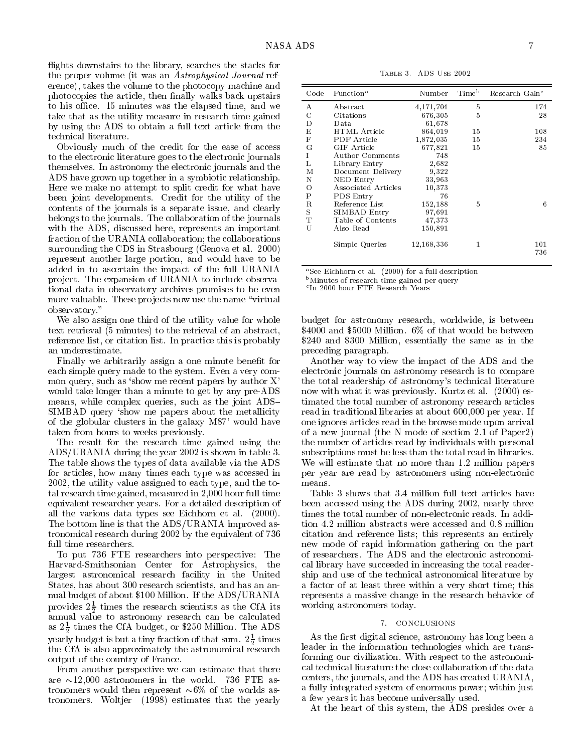flights downstairs to the library, searches the stacks for the proper volume (it was an Astrophysical Journal reference), takes the volume to the photocopy machine and photocopies the article, then finally walks back upstairs to his office. 15 minutes was the elapsed time, and we take that as the utility measure in research time gained by using the ADS to obtain a full text article from the technical literature.

Obviously much of the credit for the ease of access to the electronic literature goes to the electronic journals themselves. In astronomy the electronic journals and the ADS have grown up together in a symbiotic relationship. Here we make no attempt to split credit for what have been joint developments. Credit for the utility of the contents of the journals is a separate issue, and clearly belongs to the journals. The collaboration of the journals with the ADS, discussed here, represents an important fraction of the URANIA collaboration; the collaborations surrounding the CDS in Strasbourg (Genova et al. 2000) represent another large portion, and would have to be added in to ascertain the impact of the full URANIA pro ject. The expansion of URANIA to include observational data in observatory archives promises to be even more valuable. These projects now use the name "virtual" observatory."

We also assign one third of the utility value for whole text retrieval (5 minutes) to the retrieval of an abstract, reference list, or citation list. In practice this is probably an underestimate.

Finally we arbitrarily assign a one minute benefit for each simple query made to the system. Even a very common query, such as 'show me recent papers by author  $X'$ would take longer than a minute to get by any pre-ADS means, while complex queries, such as the joint ADS-SIMBAD query 'show me papers about the metallicity of the globular clusters in the galaxy M87' would have taken from hours to weeks previously.

The result for the research time gained using the ADS/URANIA during the year 2002 is shown in table 3. The table shows the types of data available via the ADS for articles, how many times each type was accessed in 2002, the utility value assigned to each type, and the total research time gained, measured in 2,000 hour full time equivalent researcher years. For a detailed description of all the various data types see Eichhorn et al. (2000). The bottom line is that the ADS/URANIA improved astronomical research during 2002 by the equivalent of 736 full time researchers.

To put 736 FTE researchers into perspective: The Harvard-Smithsonian Center for Astrophysics, the largest astronomical research facility in the United States, has about 300 research scientists, and has an an nual budget of about \$100 Million. If the ADS/URANIA provides  $2\frac{1}{2}$  times the research scientists as the CIA its  $\sim$ <sup>2</sup> annual value to astronomy research can be calculated as  $z_{\frac{1}{2}}$  times the CIA budget, or \$250 Million. The ADS yearly budget is but a tiny fraction of that sum. 2 <sup>1</sup> times the CfA is also approximately the astronomical research lead output of the country of France.

From another perspective we can estimate that there are  $\sim$ 12,000 astronomers in the world. 736 FTE astronomers would then represent  $\sim 6\%$  of the worlds astronomers. Woltjer (1998) estimates that the yearly Table 3. ADS Use 2002

| Code        | Function <sup>a</sup> | Number       | Time <sup>b</sup> | Research Gain <sup>c</sup> |
|-------------|-----------------------|--------------|-------------------|----------------------------|
| А           | Abstract              | 4,171,704    | 5                 | 174                        |
| C           | Citations             | 676,305      | 5                 | 28                         |
| D           | Dat a                 | 61,678       |                   |                            |
| Е           | HTML Article          | 864,019      | 15                | 108                        |
| F           | <b>PDF</b> Article    | 1,872,035    | 15                | 234                        |
| G           | GIF Article           | 677,821      | 15                | 85                         |
| $\mathbf I$ | Author Comments       | 748          |                   |                            |
| T.          | Library Entry         | 2,682        |                   |                            |
| М           | Document Delivery     | 9,322        |                   |                            |
| N           | NED Entry             | 33,963       |                   |                            |
| Ω           | Associated Articles   | 10,373       |                   |                            |
| Ρ           | PDS Entry             | 76           |                   |                            |
| R           | Reference List        | 152,188      | 5                 | 6                          |
| S           | SIMBAD Entry          | 97,691       |                   |                            |
| т           | Table of Contents     | 47,373       |                   |                            |
| U           | Also Read             | 150,891      |                   |                            |
|             | Simple Queries        | 12, 168, 336 | 1                 | 101<br>736                 |

aSee Eichhorn et al. (2000) for a full description

bMinutes of research time gained per query

<sup>c</sup> In 2000 hour FTE Research Years

budget for astronomy research, worldwide, is between \$4000 and \$5000 Million. 6% of that would be between \$240 and \$300 Million, essentially the same as in the preceding paragraph.

Another way to view the impact of the ADS and the electronic journals on astronomy research is to compare the total readership of astronomy's technical literature now with what it was previously. Kurtz et al. (2000) estimated the total number of astronomy research articles read in traditional libraries at about 600,000 per year. If one ignores articles read in the browse mode upon arrival of a new journal (the N mode of section 2.1 of Paper2) the number of articles read by individuals with personal subscriptions must be less than the total read in libraries. We will estimate that no more than 1.2 million papers per year are read by astronomers using non-electronic means.

Table 3 shows that 3.4 million full text articles have been accessed using the ADS during 2002, nearly three times the total number of non-electronic reads. In addition 4.2 million abstracts were accessed and 0.8 million citation and reference lists; this represents an entirely new mode of rapid information gathering on the part of researchers. The ADS and the electronic astronomical library have succeeded in increasing the total readership and use of the technical astronomical literature by a factor of at least three within a very short time; this represents a massive change in the research behavior of working astronomers today.

#### 7. CONCLUSIONS

As the first digital science, astronomy has long been a leader in the information technologies which are transforming our civilization. With respect to the astronomical technical literature the close collaboration of the data centers, the journals, and the ADS has created URANIA, a fully integrated system of enormous power; within just a few years it has become universally used.

At the heart of this system, the ADS presides over a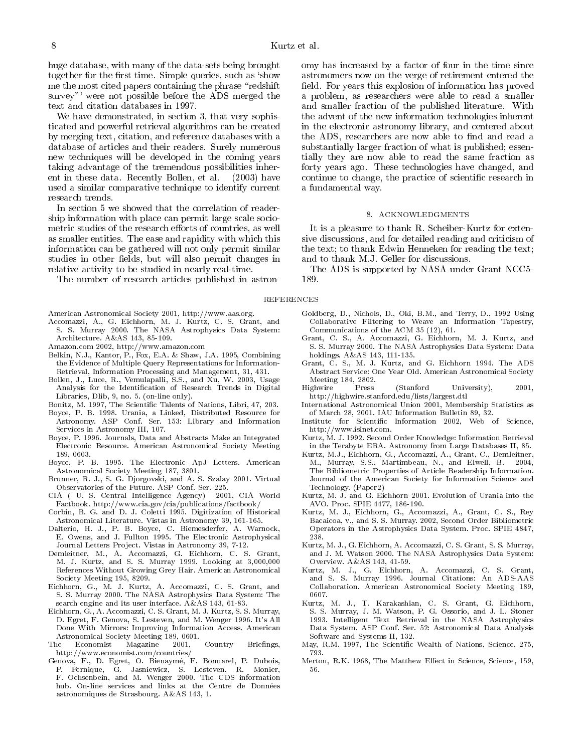huge database, with many of the data-sets being brought huge database, with many of the data-sets being brought together for the first time. Simple queries, such as 'show me the most cited papers containing the phrase "redshift" survey"' were not possible before the ADS merged the text and citation databases in 1997.

We have demonstrated, in section 3, that very sophisticated and powerful retrieval algorithms can be created by merging text, citation, and reference databases with a database of articles and their readers. Surely numerous new techniques will be developed in the coming years taking advantage of the tremendous possibilities inherent in these data. Recently Bollen, et al. (2003) have used a similar comparative technique to identify current research trends.

In section 5 we showed that the correlation of readership information with place can permit large scale sociometric studies of the research efforts of countries, as well as smaller entities. The ease and rapidity with which this information can be gathered will not only permit similar studies in other fields, but will also permit changes in relative activity to be studied in nearly real-time.

The number of research articles published in astron-

American Astronomical Society 2001, http://www.aas.org.

- Accomazzi, A., G. Eichhorn, M. J. Kurtz, C. S. Grant, and S. S. Murray 2000. The NASA Astrophysics Data System: Architecture. A&AS 143, 85-109.
- Amazon.com 2002, http://www.amazon.com
- Belkin, N.J., Kantor, P., Fox, E.A. & Shaw, J.A. 1995, Combining the Evidence of Multiple Query Representations for Information-Retrieval, Information Processing and Management, 31, 431.
- Bollen, J., Luce, R., Vemulapalli, S.S., and Xu, W. 2003, Usage Analysis for the Identication of Research Trends in Digital Libraries, Dlib, 9, no. 5. (on-line only).

Bonitz, M. 1997, The Scientic Talents of Nations, Libri, 47, 203.

- Boyce, P. B. 1998. Urania, a Linked, Distributed Resource for Astronomy. ASP Conf. Ser. 153: Library and Information Services in Astronomy III, 107.
- Boyce, P. 1996. Journals, Data and Abstracts Make an Integrated Electronic Resource. American Astronomical Society Meeting 189.0603. 189, 0603.
- Boyce, P. B. 1995. The Electronic ApJ Letters. American Astronomical Society Meeting 187, 3801.
- Brunner, R. J., S. G. Djorgovski, and A. S. Szalay 2001. Virtual Observatories of the Future. ASP Conf. Ser. 225.
- CIA ( U. S. Central Intelligence Agency) 2001, CIA World Factbook. http://www.cia.gov/cia/publications/factbook/
- Corbin, B. G. and D. J. Coletti 1995. Digitization of Historical Astronomical Literature. Vistas in Astronomy 39, 161-165.
- Dalterio, H. J., P. B. Boyce, C. Biemesderfer, A. Warnock, E. Owens, and J. Fullton 1995. The Electronic Astrophysical Journal Letters Project. Vistas in Astronomy 39, 7-12.
- Demleitner, M., A. Accomazzi, G. Eichhorn, C. S. Grant, . The state of the state of the state of the state of the state of the state of the state of the state of the state of the state of the state of the state of the state of the state of the state of the state of the state o References Without Growing Grey Hair. American Astronomical Society Meeting 195, 8209.
- Eichhorn, G., M. J. Kurtz, A. Accomazzi, C. S. Grant, and S. S. Murray 2000. The NASA Astrophysics Data System: The search engine and its user interface. A&AS 143, 61-83.
- Eichhorn, G., A. Accomazzi, C. S. Grant, M. J. Kurtz, S. S. Murray, D. Egret, F. Genova, S. Lesteven, and M. Wenger 1996. It's All Done With Mirrors: Improving Information Access. American Astronomical Society Meeting 189, 0601.
- The Economist Magazine 2001, Country Briefings, http://www.economist.com/countries/
- Genova, F., D. Egret, O. Bienayme, F. Bonnarel, P. Dubois, P. Fernique, G. Jasniewicz, S. Lesteven, R. Monier, F. Ochsenbein, and M. Wenger 2000. The CDS information hub. On-line services and links at the Centre de Données astronomiques de Strasbourg. A&AS 143, 1.

omy has increased by a factor of four in the time since astronomers now on the verge of retirement entered the field. For years this explosion of information has proved a problem, as researchers were able to read a smaller and smaller fraction of the published literature. With the advent of the new information technologies inherent in the electronic astronomy library, and centered about the ADS, researchers are now able to find and read a substantially larger fraction of what is published; essentially they are now able to read the same fraction as forty years ago. These technologies have changed, and continue to change, the practice of scientic research in a fundamental way.

#### 8. ACKNOWLEDGMENTS

It is a pleasure to thank R. Scheiber-Kurtz for extensive discussions, and for detailed reading and criticism of the text; to thank Edwin Henneken for reading the text; and to thank M.J. Geller for discussions.

The ADS is supported by NASA under Grant NCC5- 189.

### REFERENCES

- Goldberg, D., Nichols, D., Oki, B.M., and Terry, D., 1992 Using Collaborative Filtering to Weave an Information Tapestry, Communications of the ACM 35 (12), 61.
- Grant, C. S., A. Accomazzi, G. Eichhorn, M. J. Kurtz, and S. S. Murray 2000. The NASA Astrophysics Data System: Data holdings. A&AS 143, 111-135.
- Grant, C. S., M. J. Kurtz, and G. Eichhorn 1994. The ADS Abstract Service: One Year Old. American Astronomical Society Meeting 184, 2802.
- Highwire Press (Stanford University), 2001. http://highwire.stanford.edu/lists/largest.dtl
- International Astronomical Union 2001, Membership Statistics as of March 28, 2001. IAU Information Bulletin 89, 32.
- Institute for Scientic Information 2002, Web of Science, http://www.isinet.com.
- Kurtz, M. J. 1992. Second Order Knowledge: Information Retrieval in the Terabyte ERA. Astronomy from Large Databases II, 85.
- Kurtz, M.J., Eichhorn, G., Accomazzi, A., Grant, C., Demleitner, M., Murray, S.S., Martimbeau, N., and Elwell, B. 2004, The Bibliometric Properties of Article Readership Information. Journal of the American Society for Information Science and Technology. (Paper2)
- Kurtz, M. J. and G. Eichhorn 2001. Evolution of Urania into the AVO. Proc. SPIE 4477, 186-190.
- Kurtz, M. J., Eichhorn, G., Accomazzi, A., Grant, C. S., Rey Bacaicoa, v., and S. S. Murray. 2002, Second Order Bibliometric Operators in the Astrophysics Data System. Proc. SPIE 4847, 238.
- Kurtz, M. J., G. Eichhorn, A. Accomazzi, C. S. Grant, S. S. Murray, and J. M. Watson 2000. The NASA Astrophysics Data System: Overview. A&AS 143, 41-59.
- Kurtz, M. J., G. Eichhorn, A. Accomazzi, C. S. Grant, and S. S. Murray 1996. Journal Citations: An ADS-AAS Collaboration. American Astronomical Society Meeting 189, 0607.
- Kurtz, M. J., T. Karakashian, C. S. Grant, G. Eichhorn, S. S. Murray, J. M. Watson, P. G. Ossorio, and J. L. Stoner 1993. Intelligent Text Retrieval in the NASA Astrophysics Data System. ASP Conf. Ser. 52: Astronomical Data Analysis Software and Systems II, 132.
- May, R.M. 1997, The Scientic Wealth of Nations, Science, 275, 793
- Merton, R.K. 1968, The Matthew Effect in Science, Science, 159, 56.